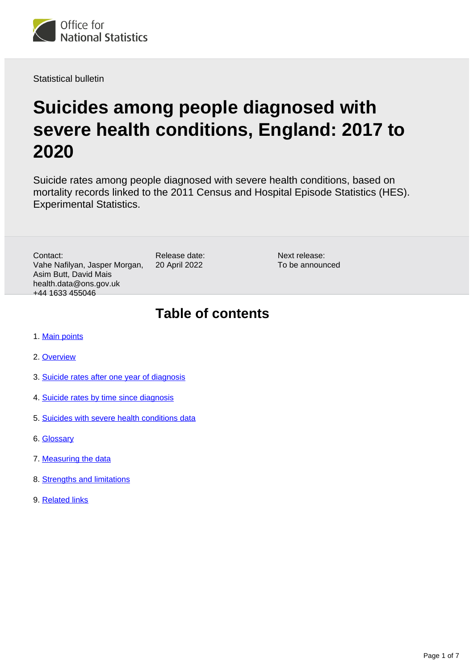

Statistical bulletin

# **Suicides among people diagnosed with severe health conditions, England: 2017 to 2020**

Suicide rates among people diagnosed with severe health conditions, based on mortality records linked to the 2011 Census and Hospital Episode Statistics (HES). Experimental Statistics.

Contact: Vahe Nafilyan, Jasper Morgan, Asim Butt, David Mais health.data@ons.gov.uk +44 1633 455046

Release date: 20 April 2022

Next release: To be announced

### **Table of contents**

- 1. [Main points](#page-1-0)
- 2. [Overview](#page-1-1)
- 3. [Suicide rates after one year of diagnosis](#page-2-0)
- 4. [Suicide rates by time since diagnosis](#page-3-0)
- 5. [Suicides with severe health conditions data](#page-4-0)
- 6. [Glossary](#page-4-1)
- 7. [Measuring the data](#page-5-0)
- 8. [Strengths and limitations](#page-5-1)
- 9. [Related links](#page-6-0)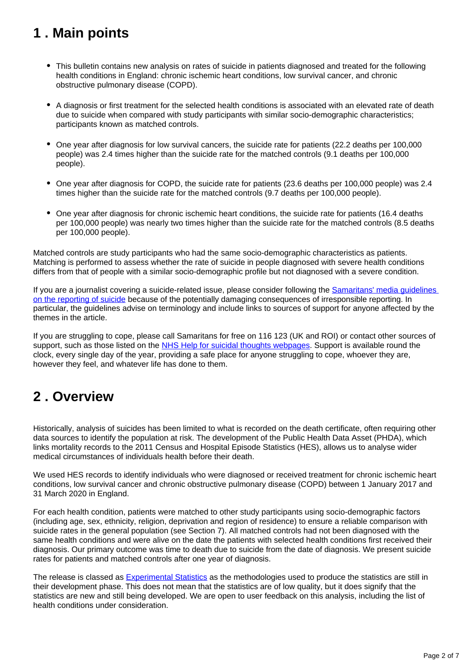## <span id="page-1-0"></span>**1 . Main points**

- This bulletin contains new analysis on rates of suicide in patients diagnosed and treated for the following health conditions in England: chronic ischemic heart conditions, low survival cancer, and chronic obstructive pulmonary disease (COPD).
- A diagnosis or first treatment for the selected health conditions is associated with an elevated rate of death due to suicide when compared with study participants with similar socio-demographic characteristics; participants known as matched controls.
- One year after diagnosis for low survival cancers, the suicide rate for patients (22.2 deaths per 100,000 people) was 2.4 times higher than the suicide rate for the matched controls (9.1 deaths per 100,000 people).
- One year after diagnosis for COPD, the suicide rate for patients (23.6 deaths per 100,000 people) was 2.4 times higher than the suicide rate for the matched controls (9.7 deaths per 100,000 people).
- One year after diagnosis for chronic ischemic heart conditions, the suicide rate for patients (16.4 deaths per 100,000 people) was nearly two times higher than the suicide rate for the matched controls (8.5 deaths per 100,000 people).

Matched controls are study participants who had the same socio-demographic characteristics as patients. Matching is performed to assess whether the rate of suicide in people diagnosed with severe health conditions differs from that of people with a similar socio-demographic profile but not diagnosed with a severe condition.

If you are a journalist covering a suicide-related issue, please consider following the [Samaritans' media guidelines](https://www.samaritans.org/about-samaritans/media-guidelines/)  [on the reporting of suicide](https://www.samaritans.org/about-samaritans/media-guidelines/) because of the potentially damaging consequences of irresponsible reporting. In particular, the guidelines advise on terminology and include links to sources of support for anyone affected by the themes in the article.

If you are struggling to cope, please call Samaritans for free on 116 123 (UK and ROI) or contact other sources of support, such as those listed on the [NHS Help for suicidal thoughts webpages](https://www.nhs.uk/mental-health/feelings-symptoms-behaviours/behaviours/help-for-suicidal-thoughts/). Support is available round the clock, every single day of the year, providing a safe place for anyone struggling to cope, whoever they are, however they feel, and whatever life has done to them.

### <span id="page-1-1"></span>**2 . Overview**

Historically, analysis of suicides has been limited to what is recorded on the death certificate, often requiring other data sources to identify the population at risk. The development of the Public Health Data Asset (PHDA), which links mortality records to the 2011 Census and Hospital Episode Statistics (HES), allows us to analyse wider medical circumstances of individuals health before their death.

We used HES records to identify individuals who were diagnosed or received treatment for chronic ischemic heart conditions, low survival cancer and chronic obstructive pulmonary disease (COPD) between 1 January 2017 and 31 March 2020 in England.

For each health condition, patients were matched to other study participants using socio-demographic factors (including age, sex, ethnicity, religion, deprivation and region of residence) to ensure a reliable comparison with suicide rates in the general population (see Section 7). All matched controls had not been diagnosed with the same health conditions and were alive on the date the patients with selected health conditions first received their diagnosis. Our primary outcome was time to death due to suicide from the date of diagnosis. We present suicide rates for patients and matched controls after one year of diagnosis.

The release is classed as **Experimental Statistics** as the methodologies used to produce the statistics are still in their development phase. This does not mean that the statistics are of low quality, but it does signify that the statistics are new and still being developed. We are open to user feedback on this analysis, including the list of health conditions under consideration.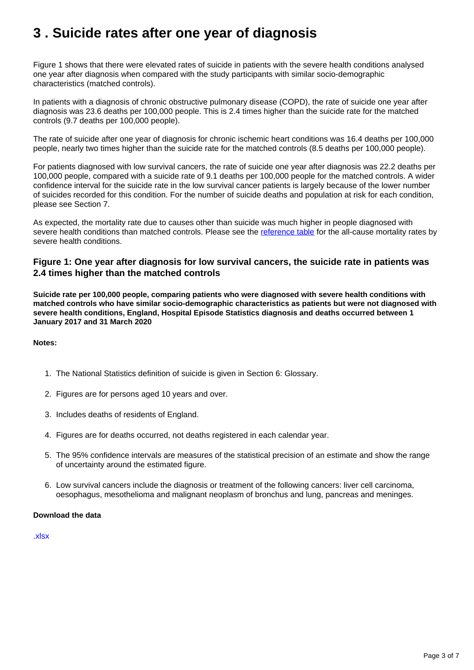## <span id="page-2-0"></span>**3 . Suicide rates after one year of diagnosis**

Figure 1 shows that there were elevated rates of suicide in patients with the severe health conditions analysed one year after diagnosis when compared with the study participants with similar socio-demographic characteristics (matched controls).

In patients with a diagnosis of chronic obstructive pulmonary disease (COPD), the rate of suicide one year after diagnosis was 23.6 deaths per 100,000 people. This is 2.4 times higher than the suicide rate for the matched controls (9.7 deaths per 100,000 people).

The rate of suicide after one year of diagnosis for chronic ischemic heart conditions was 16.4 deaths per 100,000 people, nearly two times higher than the suicide rate for the matched controls (8.5 deaths per 100,000 people).

For patients diagnosed with low survival cancers, the rate of suicide one year after diagnosis was 22.2 deaths per 100,000 people, compared with a suicide rate of 9.1 deaths per 100,000 people for the matched controls. A wider confidence interval for the suicide rate in the low survival cancer patients is largely because of the lower number of suicides recorded for this condition. For the number of suicide deaths and population at risk for each condition, please see Section 7.

As expected, the mortality rate due to causes other than suicide was much higher in people diagnosed with severe health conditions than matched controls. Please see the [reference table](https://www.ons.gov.uk/peoplepopulationandcommunity/birthsdeathsandmarriages/deaths/datasets/suicidesamongpeoplediagnosedwithseverehealthconditionsengland) for the all-cause mortality rates by severe health conditions.

#### **Figure 1: One year after diagnosis for low survival cancers, the suicide rate in patients was 2.4 times higher than the matched controls**

**Suicide rate per 100,000 people, comparing patients who were diagnosed with severe health conditions with matched controls who have similar socio-demographic characteristics as patients but were not diagnosed with severe health conditions, England, Hospital Episode Statistics diagnosis and deaths occurred between 1 January 2017 and 31 March 2020**

#### **Notes:**

- 1. The National Statistics definition of suicide is given in Section 6: Glossary.
- 2. Figures are for persons aged 10 years and over.
- 3. Includes deaths of residents of England.
- 4. Figures are for deaths occurred, not deaths registered in each calendar year.
- 5. The 95% confidence intervals are measures of the statistical precision of an estimate and show the range of uncertainty around the estimated figure.
- 6. Low survival cancers include the diagnosis or treatment of the following cancers: liver cell carcinoma, oesophagus, mesothelioma and malignant neoplasm of bronchus and lung, pancreas and meninges.

#### **Download the data**

[.xlsx](https://www.ons.gov.uk/visualisations/dvc1925/fig1new/datadownload.xlsx)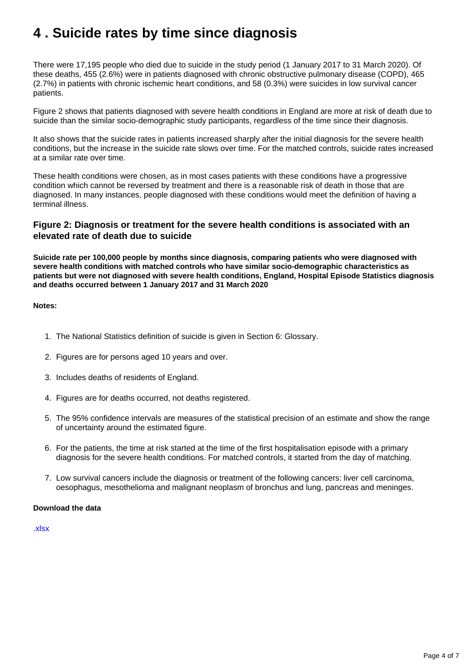## <span id="page-3-0"></span>**4 . Suicide rates by time since diagnosis**

There were 17,195 people who died due to suicide in the study period (1 January 2017 to 31 March 2020). Of these deaths, 455 (2.6%) were in patients diagnosed with chronic obstructive pulmonary disease (COPD), 465 (2.7%) in patients with chronic ischemic heart conditions, and 58 (0.3%) were suicides in low survival cancer patients.

Figure 2 shows that patients diagnosed with severe health conditions in England are more at risk of death due to suicide than the similar socio-demographic study participants, regardless of the time since their diagnosis.

It also shows that the suicide rates in patients increased sharply after the initial diagnosis for the severe health conditions, but the increase in the suicide rate slows over time. For the matched controls, suicide rates increased at a similar rate over time.

These health conditions were chosen, as in most cases patients with these conditions have a progressive condition which cannot be reversed by treatment and there is a reasonable risk of death in those that are diagnosed. In many instances, people diagnosed with these conditions would meet the definition of having a terminal illness.

#### **Figure 2: Diagnosis or treatment for the severe health conditions is associated with an elevated rate of death due to suicide**

**Suicide rate per 100,000 people by months since diagnosis, comparing patients who were diagnosed with severe health conditions with matched controls who have similar socio-demographic characteristics as patients but were not diagnosed with severe health conditions, England, Hospital Episode Statistics diagnosis and deaths occurred between 1 January 2017 and 31 March 2020**

#### **Notes:**

- 1. The National Statistics definition of suicide is given in Section 6: Glossary.
- 2. Figures are for persons aged 10 years and over.
- 3. Includes deaths of residents of England.
- 4. Figures are for deaths occurred, not deaths registered.
- 5. The 95% confidence intervals are measures of the statistical precision of an estimate and show the range of uncertainty around the estimated figure.
- 6. For the patients, the time at risk started at the time of the first hospitalisation episode with a primary diagnosis for the severe health conditions. For matched controls, it started from the day of matching.
- 7. Low survival cancers include the diagnosis or treatment of the following cancers: liver cell carcinoma, oesophagus, mesothelioma and malignant neoplasm of bronchus and lung, pancreas and meninges.

#### **Download the data**

[.xlsx](https://www.ons.gov.uk/visualisations/dvc1925/fig2/datadownload.xlsx)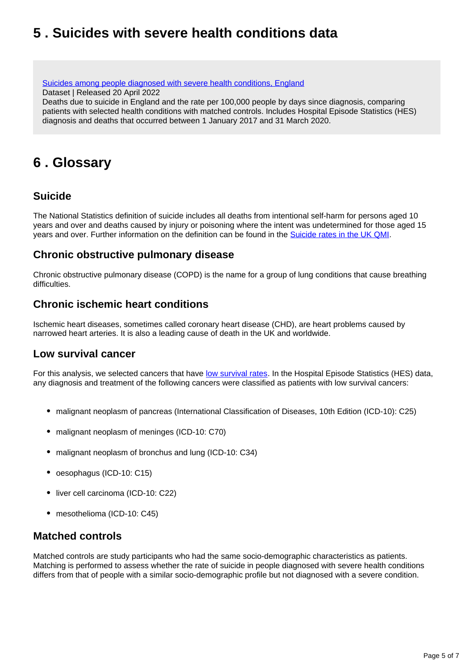## <span id="page-4-0"></span>**5 . Suicides with severe health conditions data**

[Suicides among people diagnosed with severe health conditions, England](https://www.ons.gov.uk/peoplepopulationandcommunity/birthsdeathsandmarriages/deaths/datasets/suicidesamongpeoplediagnosedwithseverehealthconditionsengland) Dataset | Released 20 April 2022

Deaths due to suicide in England and the rate per 100,000 people by days since diagnosis, comparing patients with selected health conditions with matched controls. Includes Hospital Episode Statistics (HES) diagnosis and deaths that occurred between 1 January 2017 and 31 March 2020.

### <span id="page-4-1"></span>**6 . Glossary**

### **Suicide**

The National Statistics definition of suicide includes all deaths from intentional self-harm for persons aged 10 years and over and deaths caused by injury or poisoning where the intent was undetermined for those aged 15 years and over. Further information on the definition can be found in the [Suicide rates in the UK QMI](https://www.ons.gov.uk/peoplepopulationandcommunity/birthsdeathsandmarriages/deaths/methodologies/suicideratesintheukqmi).

### **Chronic obstructive pulmonary disease**

Chronic obstructive pulmonary disease (COPD) is the name for a group of lung conditions that cause breathing difficulties.

#### **Chronic ischemic heart conditions**

Ischemic heart diseases, sometimes called coronary heart disease (CHD), are heart problems caused by narrowed heart arteries. It is also a leading cause of death in the UK and worldwide.

### **Low survival cancer**

For this analysis, we selected cancers that have [low survival rates](https://www.ons.gov.uk/peoplepopulationandcommunity/healthandsocialcare/conditionsanddiseases/bulletins/cancersurvivalinengland/stageatdiagnosisandchildhoodpatientsfollowedupto2018). In the Hospital Episode Statistics (HES) data, any diagnosis and treatment of the following cancers were classified as patients with low survival cancers:

- malignant neoplasm of pancreas (International Classification of Diseases, 10th Edition (ICD-10): C25)
- malignant neoplasm of meninges (ICD-10: C70)
- malignant neoplasm of bronchus and lung (ICD-10: C34)
- oesophagus (ICD-10: C15)
- liver cell carcinoma (ICD-10: C22)
- mesothelioma (ICD-10: C45)

#### **Matched controls**

Matched controls are study participants who had the same socio-demographic characteristics as patients. Matching is performed to assess whether the rate of suicide in people diagnosed with severe health conditions differs from that of people with a similar socio-demographic profile but not diagnosed with a severe condition.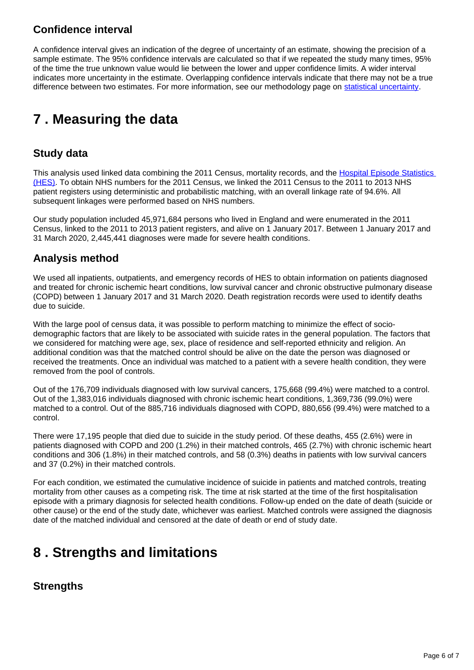### **Confidence interval**

A confidence interval gives an indication of the degree of uncertainty of an estimate, showing the precision of a sample estimate. The 95% confidence intervals are calculated so that if we repeated the study many times, 95% of the time the true unknown value would lie between the lower and upper confidence limits. A wider interval indicates more uncertainty in the estimate. Overlapping confidence intervals indicate that there may not be a true difference between two estimates. For more information, see our methodology page on [statistical uncertainty](https://www.ons.gov.uk/methodology/methodologytopicsandstatisticalconcepts/uncertaintyandhowwemeasureit).

## <span id="page-5-0"></span>**7 . Measuring the data**

### **Study data**

This analysis used linked data combining the 2011 Census, mortality records, and the Hospital Episode Statistics [\(HES\)](https://digital.nhs.uk/data-and-information/data-tools-and-services/data-services/hospital-episode-statistics). To obtain NHS numbers for the 2011 Census, we linked the 2011 Census to the 2011 to 2013 NHS patient registers using deterministic and probabilistic matching, with an overall linkage rate of 94.6%. All subsequent linkages were performed based on NHS numbers.

Our study population included 45,971,684 persons who lived in England and were enumerated in the 2011 Census, linked to the 2011 to 2013 patient registers, and alive on 1 January 2017. Between 1 January 2017 and 31 March 2020, 2,445,441 diagnoses were made for severe health conditions.

### **Analysis method**

We used all inpatients, outpatients, and emergency records of HES to obtain information on patients diagnosed and treated for chronic ischemic heart conditions, low survival cancer and chronic obstructive pulmonary disease (COPD) between 1 January 2017 and 31 March 2020. Death registration records were used to identify deaths due to suicide.

With the large pool of census data, it was possible to perform matching to minimize the effect of sociodemographic factors that are likely to be associated with suicide rates in the general population. The factors that we considered for matching were age, sex, place of residence and self-reported ethnicity and religion. An additional condition was that the matched control should be alive on the date the person was diagnosed or received the treatments. Once an individual was matched to a patient with a severe health condition, they were removed from the pool of controls.

Out of the 176,709 individuals diagnosed with low survival cancers, 175,668 (99.4%) were matched to a control. Out of the 1,383,016 individuals diagnosed with chronic ischemic heart conditions, 1,369,736 (99.0%) were matched to a control. Out of the 885,716 individuals diagnosed with COPD, 880,656 (99.4%) were matched to a control.

There were 17,195 people that died due to suicide in the study period. Of these deaths, 455 (2.6%) were in patients diagnosed with COPD and 200 (1.2%) in their matched controls, 465 (2.7%) with chronic ischemic heart conditions and 306 (1.8%) in their matched controls, and 58 (0.3%) deaths in patients with low survival cancers and 37 (0.2%) in their matched controls.

For each condition, we estimated the cumulative incidence of suicide in patients and matched controls, treating mortality from other causes as a competing risk. The time at risk started at the time of the first hospitalisation episode with a primary diagnosis for selected health conditions. Follow-up ended on the date of death (suicide or other cause) or the end of the study date, whichever was earliest. Matched controls were assigned the diagnosis date of the matched individual and censored at the date of death or end of study date.

## <span id="page-5-1"></span>**8 . Strengths and limitations**

### **Strengths**